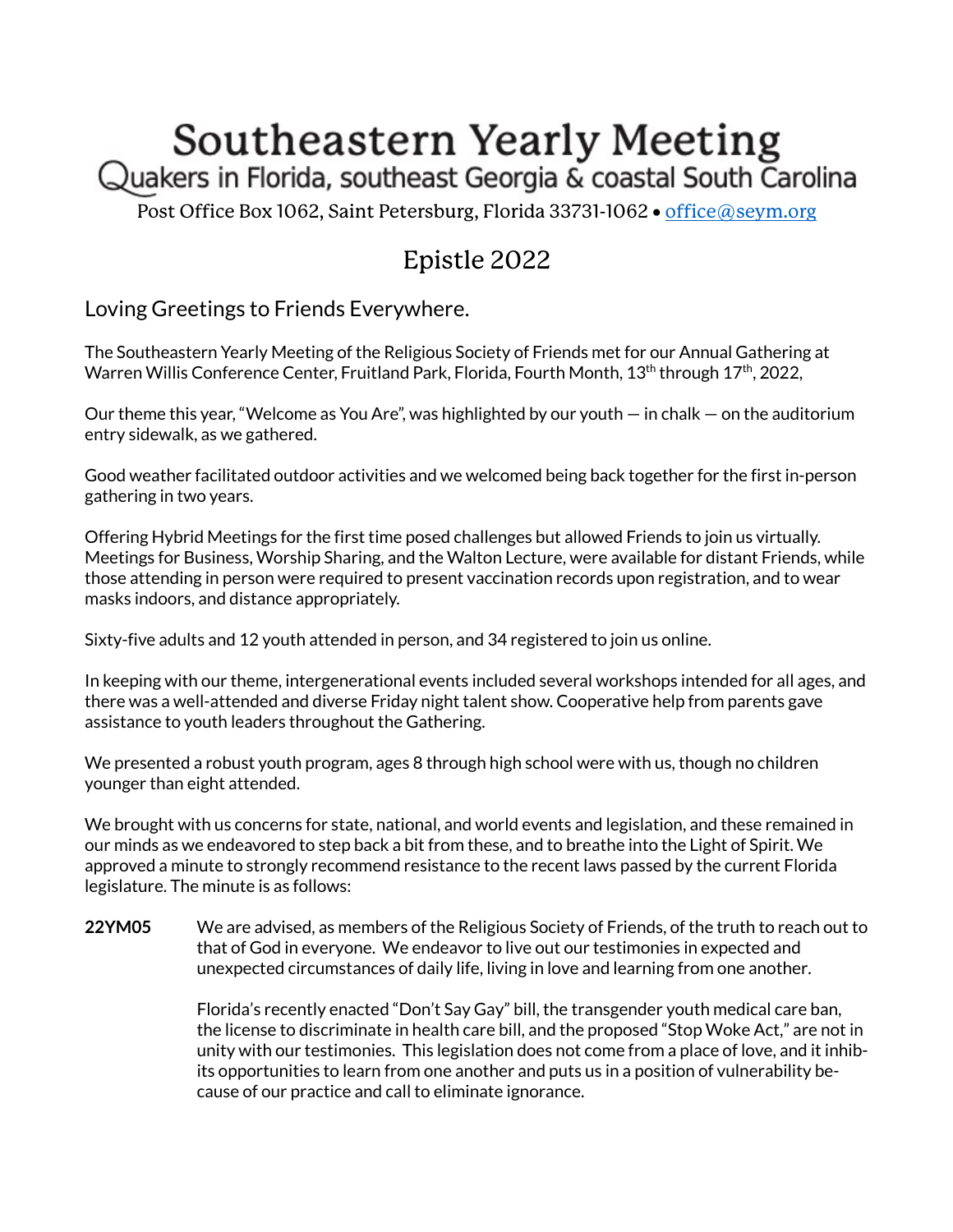## Southeastern Yearly Meeting

Quakers in Florida, southeast Georgia & coastal South Carolina

Post Office Box 1062, Saint Petersburg, Florida 33731-1062 · office@seym.org

## Epistle 2022

Loving Greetings to Friends Everywhere.

The Southeastern Yearly Meeting of the Religious Society of Friends met for our Annual Gathering at Warren Willis Conference Center, Fruitland Park, Florida, Fourth Month, 13<sup>th</sup> through 17<sup>th</sup>, 2022,

Our theme this year, "Welcome as You Are", was highlighted by our youth  $-$  in chalk  $-$  on the auditorium entry sidewalk, as we gathered.

Good weather facilitated outdoor activities and we welcomed being back together for the first in-person gathering in two years.

Offering Hybrid Meetings for the first time posed challenges but allowed Friends to join us virtually. Meetings for Business, Worship Sharing, and the Walton Lecture, were available for distant Friends, while those attending in person were required to present vaccination records upon registration, and to wear masks indoors, and distance appropriately.

Sixty-five adults and 12 youth attended in person, and 34 registered to join us online.

In keeping with our theme, intergenerational events included several workshops intended for all ages, and there was a well-attended and diverse Friday night talent show. Cooperative help from parents gave assistance to youth leaders throughout the Gathering.

We presented a robust youth program, ages 8 through high school were with us, though no children younger than eight attended.

We brought with us concerns for state, national, and world events and legislation, and these remained in our minds as we endeavored to step back a bit from these, and to breathe into the Light of Spirit. We approved a minute to strongly recommend resistance to the recent laws passed by the current Florida legislature. The minute is as follows:

**22YM05** We are advised, as members of the Religious Society of Friends, of the truth to reach out to that of God in everyone. We endeavor to live out our testimonies in expected and unexpected circumstances of daily life, living in love and learning from one another.

> Florida's recently enacted "Don't Say Gay" bill, the transgender youth medical care ban, the license to discriminate in health care bill, and the proposed "Stop Woke Act," are not in unity with our testimonies. This legislation does not come from a place of love, and it inhibits opportunities to learn from one another and puts us in a position of vulnerability because of our practice and call to eliminate ignorance.